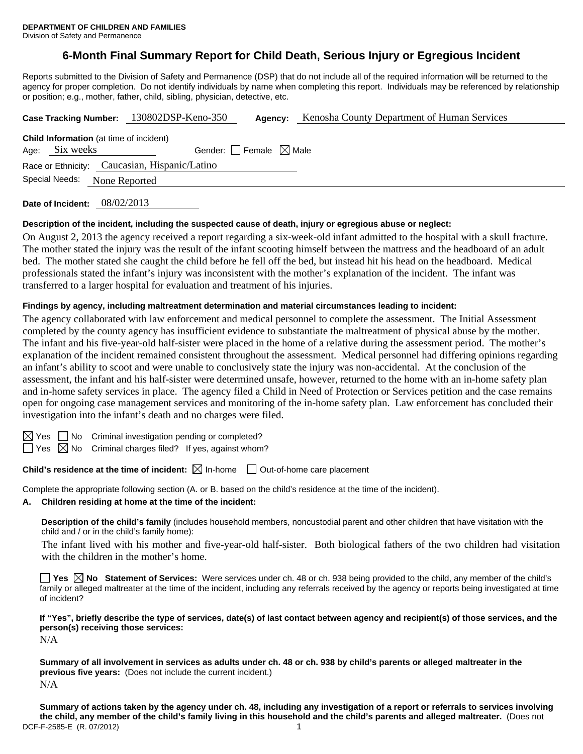# **6-Month Final Summary Report for Child Death, Serious Injury or Egregious Incident**

Reports submitted to the Division of Safety and Permanence (DSP) that do not include all of the required information will be returned to the agency for proper completion. Do not identify individuals by name when completing this report. Individuals may be referenced by relationship or position; e.g., mother, father, child, sibling, physician, detective, etc.

|                                                   |                                                | Case Tracking Number: 130802DSP-Keno-350 | Agency: | <b>Kenosha County Department of Human Services</b> |  |  |
|---------------------------------------------------|------------------------------------------------|------------------------------------------|---------|----------------------------------------------------|--|--|
|                                                   | <b>Child Information</b> (at time of incident) |                                          |         |                                                    |  |  |
| Gender: Female $\boxtimes$ Male<br>Age: Six weeks |                                                |                                          |         |                                                    |  |  |
|                                                   | Race or Ethnicity: Caucasian, Hispanic/Latino  |                                          |         |                                                    |  |  |
| Special Needs:                                    | None Reported                                  |                                          |         |                                                    |  |  |
|                                                   | $0.0108$ is $0.18$                             |                                          |         |                                                    |  |  |

**Date of Incident:** 08/02/2013

### **Description of the incident, including the suspected cause of death, injury or egregious abuse or neglect:**

On August 2, 2013 the agency received a report regarding a six-week-old infant admitted to the hospital with a skull fracture. The mother stated the injury was the result of the infant scooting himself between the mattress and the headboard of an adult bed. The mother stated she caught the child before he fell off the bed, but instead hit his head on the headboard. Medical professionals stated the infant's injury was inconsistent with the mother's explanation of the incident. The infant was transferred to a larger hospital for evaluation and treatment of his injuries.

### **Findings by agency, including maltreatment determination and material circumstances leading to incident:**

The agency collaborated with law enforcement and medical personnel to complete the assessment. The Initial Assessment completed by the county agency has insufficient evidence to substantiate the maltreatment of physical abuse by the mother. The infant and his five-year-old half-sister were placed in the home of a relative during the assessment period. The mother's explanation of the incident remained consistent throughout the assessment. Medical personnel had differing opinions regarding an infant's ability to scoot and were unable to conclusively state the injury was non-accidental. At the conclusion of the assessment, the infant and his half-sister were determined unsafe, however, returned to the home with an in-home safety plan and in-home safety services in place. The agency filed a Child in Need of Protection or Services petition and the case remains open for ongoing case management services and monitoring of the in-home safety plan. Law enforcement has concluded their investigation into the infant's death and no charges were filed.

| × |
|---|
|   |

 $S \cap M$ o Criminal investigation pending or completed?

 $\Box$  Yes  $\boxtimes$  No Criminal charges filed? If yes, against whom?

**Child's residence at the time of incident:**  $\boxtimes$  In-home  $\Box$  Out-of-home care placement

Complete the appropriate following section (A. or B. based on the child's residence at the time of the incident).

**A. Children residing at home at the time of the incident:**

**Description of the child's family** (includes household members, noncustodial parent and other children that have visitation with the child and / or in the child's family home):

 The infant lived with his mother and five-year-old half-sister. Both biological fathers of the two children had visitation with the children in the mother's home.

**Yes No Statement of Services:** Were services under ch. 48 or ch. 938 being provided to the child, any member of the child's family or alleged maltreater at the time of the incident, including any referrals received by the agency or reports being investigated at time of incident?

**If "Yes", briefly describe the type of services, date(s) of last contact between agency and recipient(s) of those services, and the person(s) receiving those services:** 

N/A

**Summary of all involvement in services as adults under ch. 48 or ch. 938 by child's parents or alleged maltreater in the previous five years:** (Does not include the current incident.)  $N/A$ 

DCF-F-2585-E (R. 07/2012) 1 **Summary of actions taken by the agency under ch. 48, including any investigation of a report or referrals to services involving the child, any member of the child's family living in this household and the child's parents and alleged maltreater.** (Does not